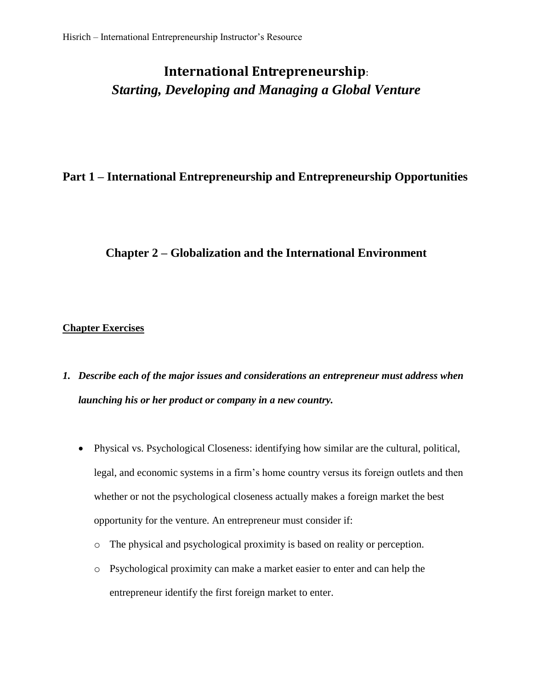# **International Entrepreneurship**: *Starting, Developing and Managing a Global Venture*

## **Part 1 – International Entrepreneurship and Entrepreneurship Opportunities**

### **Chapter 2 – Globalization and the International Environment**

#### **Chapter Exercises**

- *1. Describe each of the major issues and considerations an entrepreneur must address when launching his or her product or company in a new country.* 
	- Physical vs. Psychological Closeness: identifying how similar are the cultural, political, legal, and economic systems in a firm's home country versus its foreign outlets and then whether or not the psychological closeness actually makes a foreign market the best opportunity for the venture. An entrepreneur must consider if:
		- o The physical and psychological proximity is based on reality or perception.
		- o Psychological proximity can make a market easier to enter and can help the entrepreneur identify the first foreign market to enter.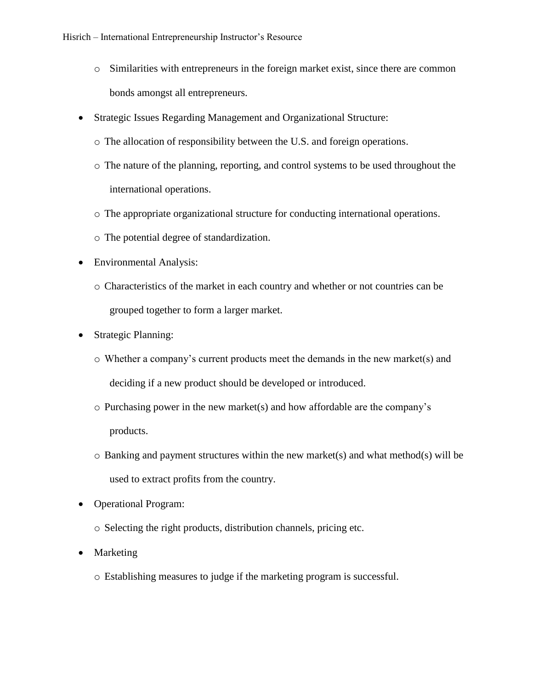- o Similarities with entrepreneurs in the foreign market exist, since there are common bonds amongst all entrepreneurs.
- Strategic Issues Regarding Management and Organizational Structure:
	- o The allocation of responsibility between the U.S. and foreign operations.
	- o The nature of the planning, reporting, and control systems to be used throughout the international operations.
	- o The appropriate organizational structure for conducting international operations.
	- o The potential degree of standardization.
- Environmental Analysis:
	- o Characteristics of the market in each country and whether or not countries can be grouped together to form a larger market.
- Strategic Planning:
	- o Whether a company's current products meet the demands in the new market(s) and deciding if a new product should be developed or introduced.
	- o Purchasing power in the new market(s) and how affordable are the company's products.
	- o Banking and payment structures within the new market(s) and what method(s) will be used to extract profits from the country.
- Operational Program:
	- o Selecting the right products, distribution channels, pricing etc.
- Marketing
	- o Establishing measures to judge if the marketing program is successful.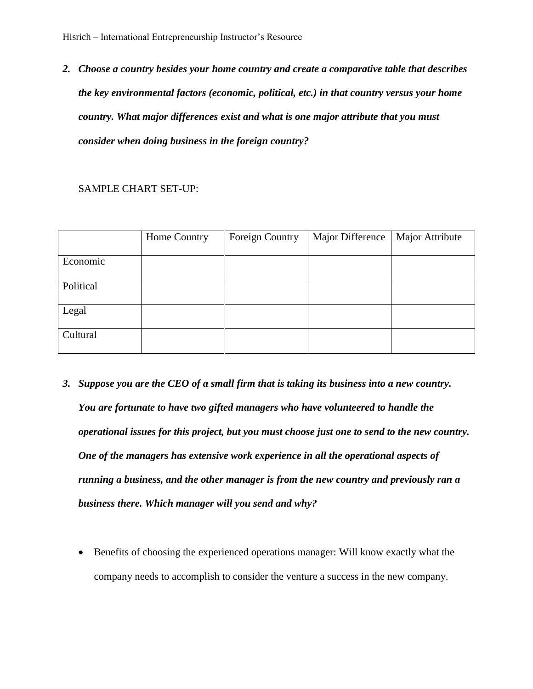Hisrich – International Entrepreneurship Instructor's Resource

*2. Choose a country besides your home country and create a comparative table that describes the key environmental factors (economic, political, etc.) in that country versus your home country. What major differences exist and what is one major attribute that you must consider when doing business in the foreign country?* 

#### SAMPLE CHART SET-UP:

|           | Home Country | Foreign Country | <b>Major Difference</b> | <b>Major Attribute</b> |
|-----------|--------------|-----------------|-------------------------|------------------------|
| Economic  |              |                 |                         |                        |
| Political |              |                 |                         |                        |
| Legal     |              |                 |                         |                        |
| Cultural  |              |                 |                         |                        |

- *3. Suppose you are the CEO of a small firm that is taking its business into a new country. You are fortunate to have two gifted managers who have volunteered to handle the operational issues for this project, but you must choose just one to send to the new country. One of the managers has extensive work experience in all the operational aspects of running a business, and the other manager is from the new country and previously ran a business there. Which manager will you send and why?* 
	- Benefits of choosing the experienced operations manager: Will know exactly what the company needs to accomplish to consider the venture a success in the new company.